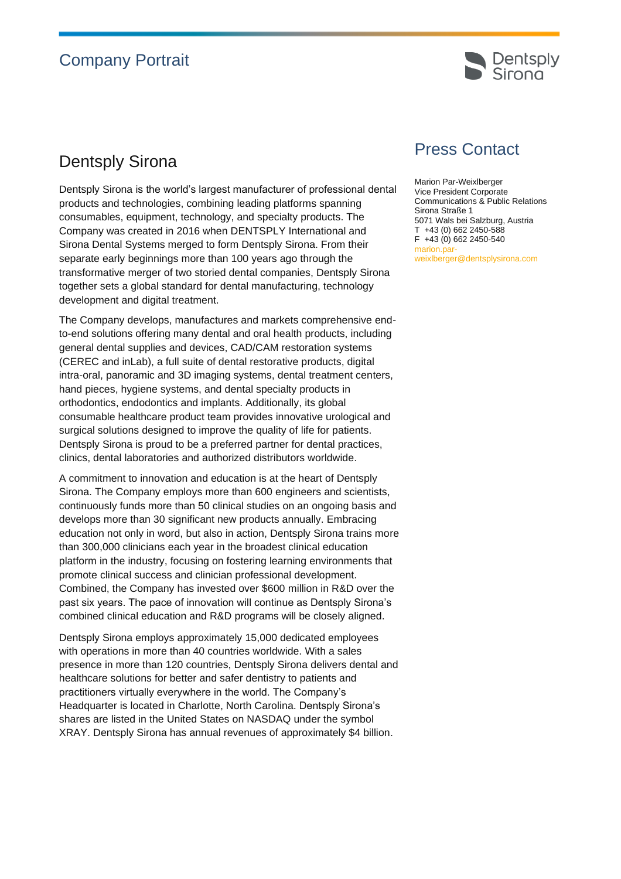## Company Portrait



## Dentsply Sirona

Dentsply Sirona is the world's largest manufacturer of professional dental products and technologies, combining leading platforms spanning consumables, equipment, technology, and specialty products. The Company was created in 2016 when DENTSPLY International and Sirona Dental Systems merged to form Dentsply Sirona. From their separate early beginnings more than 100 years ago through the transformative merger of two storied dental companies, Dentsply Sirona together sets a global standard for dental manufacturing, technology development and digital treatment.

The Company develops, manufactures and markets comprehensive endto-end solutions offering many dental and oral health products, including general dental supplies and devices, CAD/CAM restoration systems (CEREC and inLab), a full suite of dental restorative products, digital intra-oral, panoramic and 3D imaging systems, dental treatment centers, hand pieces, hygiene systems, and dental specialty products in orthodontics, endodontics and implants. Additionally, its global consumable healthcare product team provides innovative urological and surgical solutions designed to improve the quality of life for patients. Dentsply Sirona is proud to be a preferred partner for dental practices, clinics, dental laboratories and authorized distributors worldwide.

A commitment to innovation and education is at the heart of Dentsply Sirona. The Company employs more than 600 engineers and scientists, continuously funds more than 50 clinical studies on an ongoing basis and develops more than 30 significant new products annually. Embracing education not only in word, but also in action, Dentsply Sirona trains more than 300,000 clinicians each year in the broadest clinical education platform in the industry, focusing on fostering learning environments that promote clinical success and clinician professional development. Combined, the Company has invested over \$600 million in R&D over the past six years. The pace of innovation will continue as Dentsply Sirona's combined clinical education and R&D programs will be closely aligned.

Dentsply Sirona employs approximately 15,000 dedicated employees with operations in more than 40 countries worldwide. With a sales presence in more than 120 countries, Dentsply Sirona delivers dental and healthcare solutions for better and safer dentistry to patients and practitioners virtually everywhere in the world. The Company's Headquarter is located in Charlotte, North Carolina. Dentsply Sirona's shares are listed in the United States on NASDAQ under the symbol XRAY. Dentsply Sirona has annual revenues of approximately \$4 billion.

## Press Contact

Marion Par-Weixlberger Vice President Corporate Communications & Public Relations Sirona Straße 1 5071 Wals bei Salzburg, Austria T +43 (0) 662 2450-588 F +43 (0) 662 2450-540 marion.parweixlberger@dentsplysirona.com